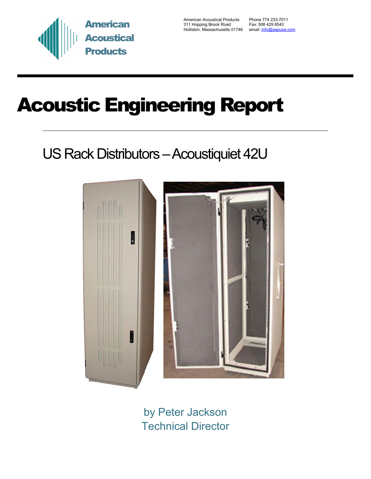

American Acoustical Products Phone 774 233-7011 311 Hopping Brook Road Fax: 508 429 8543 Holliston, Massachusetts 01746 email: *info@aapusa.com* 

# Acoustic Engineering Report

## US Rack Distributors – Acoustiquiet 42U



by Peter Jackson Technical Director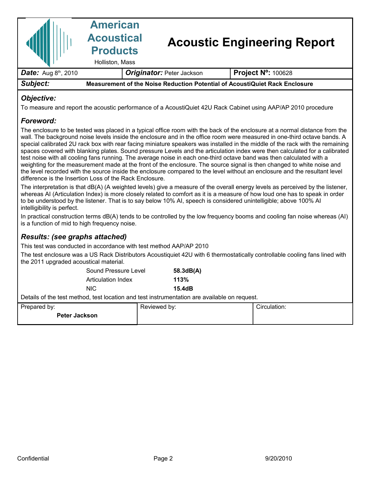|                                         | <b>American</b><br><b>Acoustical</b><br><b>Products</b><br>Holliston, Mass  |                                  | <b>Acoustic Engineering Report</b> |                           |  |
|-----------------------------------------|-----------------------------------------------------------------------------|----------------------------------|------------------------------------|---------------------------|--|
| <b>Date:</b> Aug $8^{\text{th}}$ , 2010 |                                                                             | <b>Originator: Peter Jackson</b> |                                    | <b>Project N°: 100628</b> |  |
| Subject:                                | Measurement of the Noise Reduction Potential of AcoustiQuiet Rack Enclosure |                                  |                                    |                           |  |
|                                         |                                                                             |                                  |                                    |                           |  |

#### *Objective:*

To measure and report the acoustic performance of a AcoustiQuiet 42U Rack Cabinet using AAP/AP 2010 procedure

#### *Foreword:*

The enclosure to be tested was placed in a typical office room with the back of the enclosure at a normal distance from the wall. The background noise levels inside the enclosure and in the office room were measured in one-third octave bands. A special calibrated 2U rack box with rear facing miniature speakers was installed in the middle of the rack with the remaining spaces covered with blanking plates. Sound pressure Levels and the articulation index were then calculated for a calibrated test noise with all cooling fans running. The average noise in each one-third octave band was then calculated with a weighting for the measurement made at the front of the enclosure. The source signal is then changed to white noise and the level recorded with the source inside the enclosure compared to the level without an enclosure and the resultant level difference is the Insertion Loss of the Rack Enclosure.

The interpretation is that dB(A) (A weighted levels) give a measure of the overall energy levels as perceived by the listener, whereas AI (Articulation Index) is more closely related to comfort as it is a measure of how loud one has to speak in order to be understood by the listener. That is to say below 10% AI, speech is considered unintelligible; above 100% AI intelligibility is perfect.

In practical construction terms dB(A) tends to be controlled by the low frequency booms and cooling fan noise whereas (AI) is a function of mid to high frequency noise.

### *Results: (see graphs attached)*

This test was conducted in accordance with test method AAP/AP 2010

The test enclosure was a US Rack Distributors Acoustiquiet 42U with 6 thermostatically controllable cooling fans lined with the 2011 upgraded acoustical material.

| Sound Pressure Level | 58.3dB(A) |
|----------------------|-----------|
| Articulation Index   | 113%      |
| NIC.                 | 15.4dB    |

Details of the test method, test location and test instrumentation are available on request.

| Prepared by:         | Reviewed by: | Circulation: |
|----------------------|--------------|--------------|
| <b>Peter Jackson</b> |              |              |